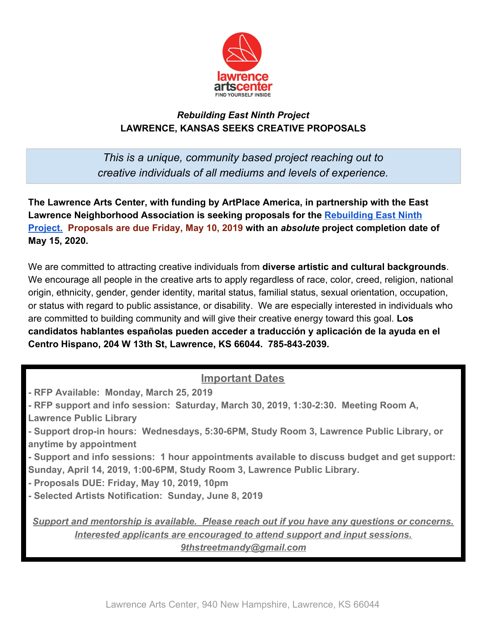

## *Rebuilding East Ninth Project* **LAWRENCE, KANSAS SEEKS CREATIVE PROPOSALS**

*This is a unique, community based project reaching out to creative individuals of all mediums and levels of experience.*

**The Lawrence Arts Center, with funding by ArtPlace America, in partnership with the East Lawrence Neighborhood Association is seeking proposals for the [Rebuilding East Ninth](https://www.rebuildingeastninth.com/) [Project.](https://www.rebuildingeastninth.com/) Proposals are due Friday, May 10, 2019 with an** *absolute* **project completion date of May 15, 2020.**

We are committed to attracting creative individuals from **diverse artistic and cultural backgrounds**. We encourage all people in the creative arts to apply regardless of race, color, creed, religion, national origin, ethnicity, gender, gender identity, marital status, familial status, sexual orientation, occupation, or status with regard to public assistance, or disability. We are especially interested in individuals who are committed to building community and will give their creative energy toward this goal. **Los candidatos hablantes españolas pueden acceder a traducción y aplicación de la ayuda en el Centro Hispano, 204 W 13th St, Lawrence, KS 66044. 785-843-2039.**

## **Important Dates**

- **RFP Available: Monday, March 25, 2019**
- **RFP support and info session: Saturday, March 30, 2019, 1:30-2:30. Meeting Room A,**
- **Lawrence Public Library**
- **Support drop-in hours: Wednesdays, 5:30-6PM, Study Room 3, Lawrence Public Library, or anytime by appointment**
- **Support and info sessions: 1 hour appointments available to discuss budget and get support: Sunday, April 14, 2019, 1:00-6PM, Study Room 3, Lawrence Public Library.**
- **Proposals DUE: Friday, May 10, 2019, 10pm**
- **Selected Artists Notification: Sunday, June 8, 2019**

*Support and mentorship is available. Please reach out if you have any questions or concerns. Interested applicants are encouraged to attend support and input sessions. 9thstreetmandy@gmail.com*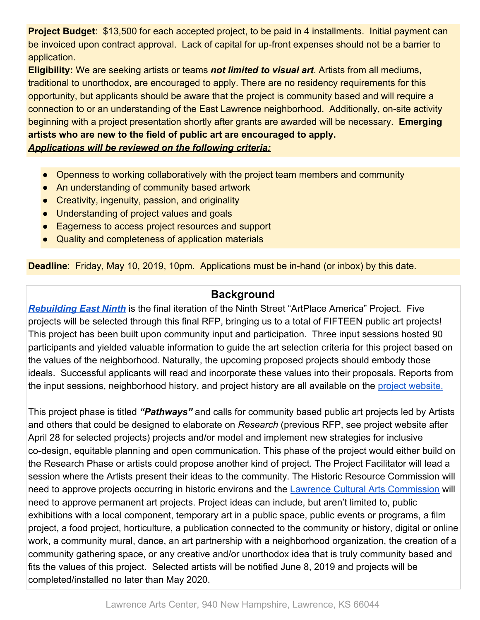**Project Budget**: \$13,500 for each accepted project, to be paid in 4 installments. Initial payment can be invoiced upon contract approval. Lack of capital for up-front expenses should not be a barrier to application.

**Eligibility:** We are seeking artists or teams *not limited to visual art*. Artists from all mediums, traditional to unorthodox, are encouraged to apply. There are no residency requirements for this opportunity, but applicants should be aware that the project is community based and will require a connection to or an understanding of the East Lawrence neighborhood. Additionally, on-site activity beginning with a project presentation shortly after grants are awarded will be necessary. **Emerging artists who are new to the field of public art are encouraged to apply.** *Applications will be reviewed on the following criteria:*

- Openness to working collaboratively with the project team members and community
- An understanding of community based artwork
- Creativity, ingenuity, passion, and originality
- Understanding of project values and goals
- Eagerness to access project resources and support
- Quality and completeness of application materials

**Deadline**: Friday, May 10, 2019, 10pm. Applications must be in-hand (or inbox) by this date.

## **Background**

*[Rebuilding East Ninth](https://www.rebuildingeastninth.com/)* is the final iteration of the Ninth Street "ArtPlace America" Project. Five projects will be selected through this final RFP, bringing us to a total of FIFTEEN public art projects! This project has been built upon community input and participation. Three input sessions hosted 90 participants and yielded valuable information to guide the art selection criteria for this project based on the values of the neighborhood. Naturally, the upcoming proposed projects should embody those ideals. Successful applicants will read and incorporate these values into their proposals. Reports from the input sessions, neighborhood history, and project history are all available on the [project website.](https://www.rebuildingeastninth.com/)

This project phase is titled *"Pathways"* and calls for community based public art projects led by Artists and others that could be designed to elaborate on *Research* (previous RFP, see project website after April 28 for selected projects) projects and/or model and implement new strategies for inclusive co-design, equitable planning and open communication. This phase of the project would either build on the Research Phase or artists could propose another kind of project. The Project Facilitator will lead a session where the Artists present their ideas to the community. The Historic Resource Commission will need to approve projects occurring in historic environs and the [Lawrence Cultural Arts Commission](https://assets.lawrenceks.org/assets/artsandculture/lcac/LCACMasterOrientationBook.pdf) will need to approve permanent art projects. Project ideas can include, but aren't limited to, public exhibitions with a local component, temporary art in a public space, public events or programs, a film project, a food project, horticulture, a publication connected to the community or history, digital or online work, a community mural, dance, an art partnership with a neighborhood organization, the creation of a community gathering space, or any creative and/or unorthodox idea that is truly community based and fits the values of this project. Selected artists will be notified June 8, 2019 and projects will be completed/installed no later than May 2020.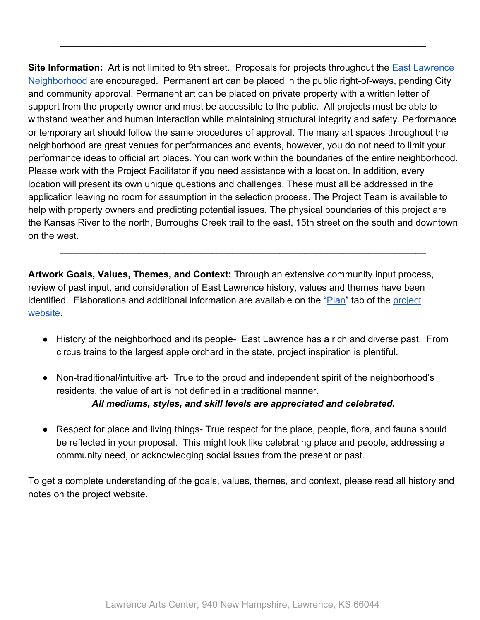**Site Information:** Art is not limited to 9th street. Proposals for projects throughout the **East Lawrence** [Neighborhood](http://www.eastlawrence.com/home/wp-content/uploads/2012/04/elna-map.pdf) are encouraged. Permanent art can be placed in the public right-of-ways, pending City and community approval. Permanent art can be placed on private property with a written letter of support from the property owner and must be accessible to the public. All projects must be able to withstand weather and human interaction while maintaining structural integrity and safety. Performance or temporary art should follow the same procedures of approval. The many art spaces throughout the neighborhood are great venues for performances and events, however, you do not need to limit your performance ideas to official art places. You can work within the boundaries of the entire neighborhood. Please work with the Project Facilitator if you need assistance with a location. In addition, every location will present its own unique questions and challenges. These must all be addressed in the application leaving no room for assumption in the selection process. The Project Team is available to help with property owners and predicting potential issues. The physical boundaries of this project are the Kansas River to the north, Burroughs Creek trail to the east, 15th street on the south and downtown on the west.

\_\_\_\_\_\_\_\_\_\_\_\_\_\_\_\_\_\_\_\_\_\_\_\_\_\_\_\_\_\_\_\_\_\_\_\_\_\_\_\_\_\_\_\_\_\_\_\_\_\_\_\_\_\_\_\_\_\_\_\_\_\_\_\_\_\_\_\_\_\_

\_\_\_\_\_\_\_\_\_\_\_\_\_\_\_\_\_\_\_\_\_\_\_\_\_\_\_\_\_\_\_\_\_\_\_\_\_\_\_\_\_\_\_\_\_\_\_\_\_\_\_\_\_\_\_\_\_\_\_\_\_\_\_\_\_\_\_\_\_\_

**Artwork Goals, Values, Themes, and Context:** Through an extensive community input process, review of past input, and consideration of East Lawrence history, values and themes have been identified. Elaborations and additional information are available on the "[Plan"](https://www.rebuildingeastninth.com/plan) tab of the [project](https://www.rebuildingeastninth.com/) [website](https://www.rebuildingeastninth.com/).

- History of the neighborhood and its people- East Lawrence has a rich and diverse past. From circus trains to the largest apple orchard in the state, project inspiration is plentiful.
- Non-traditional/intuitive art- True to the proud and independent spirit of the neighborhood's residents, the value of art is not defined in a traditional manner. *All mediums, styles, and skill levels are appreciated and celebrated.*
- Respect for place and living things- True respect for the place, people, flora, and fauna should be reflected in your proposal. This might look like celebrating place and people, addressing a community need, or acknowledging social issues from the present or past.

To get a complete understanding of the goals, values, themes, and context, please read all history and notes on the project website.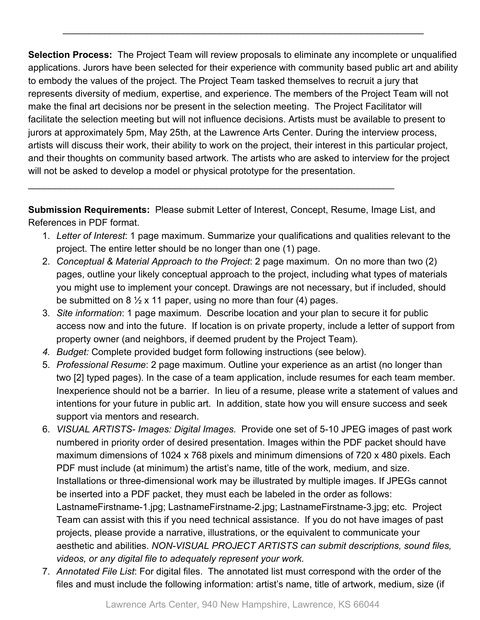**Selection Process:** The Project Team will review proposals to eliminate any incomplete or unqualified applications. Jurors have been selected for their experience with community based public art and ability to embody the values of the project. The Project Team tasked themselves to recruit a jury that represents diversity of medium, expertise, and experience. The members of the Project Team will not make the final art decisions nor be present in the selection meeting. The Project Facilitator will facilitate the selection meeting but will not influence decisions. Artists must be available to present to jurors at approximately 5pm, May 25th, at the Lawrence Arts Center. During the interview process, artists will discuss their work, their ability to work on the project, their interest in this particular project, and their thoughts on community based artwork. The artists who are asked to interview for the project will not be asked to develop a model or physical prototype for the presentation.

\_\_\_\_\_\_\_\_\_\_\_\_\_\_\_\_\_\_\_\_\_\_\_\_\_\_\_\_\_\_\_\_\_\_\_\_\_\_\_\_\_\_\_\_\_\_\_\_\_\_\_\_\_\_\_\_\_\_\_\_\_\_\_\_\_\_\_\_\_

**Submission Requirements:** Please submit Letter of Interest, Concept, Resume, Image List, and References in PDF format.

\_\_\_\_\_\_\_\_\_\_\_\_\_\_\_\_\_\_\_\_\_\_\_\_\_\_\_\_\_\_\_\_\_\_\_\_\_\_\_\_\_\_\_\_\_\_\_\_\_\_\_\_\_\_\_\_\_\_\_\_\_\_\_\_\_\_\_\_\_\_

- 1. *Letter of Interest*: 1 page maximum. Summarize your qualifications and qualities relevant to the project. The entire letter should be no longer than one (1) page.
- 2. *Conceptual & Material Approach to the Project*: 2 page maximum. On no more than two (2) pages, outline your likely conceptual approach to the project, including what types of materials you might use to implement your concept. Drawings are not necessary, but if included, should be submitted on 8  $\frac{1}{2}$  x 11 paper, using no more than four (4) pages.
- 3. *Site information*: 1 page maximum. Describe location and your plan to secure it for public access now and into the future. If location is on private property, include a letter of support from property owner (and neighbors, if deemed prudent by the Project Team).
- *4. Budget:* Complete provided budget form following instructions (see below).
- 5. *Professional Resume*: 2 page maximum. Outline your experience as an artist (no longer than two [2] typed pages). In the case of a team application, include resumes for each team member. Inexperience should not be a barrier. In lieu of a resume, please write a statement of values and intentions for your future in public art. In addition, state how you will ensure success and seek support via mentors and research.
- 6. *VISUAL ARTISTS- Images: Digital Images.* Provide one set of 5-10 JPEG images of past work numbered in priority order of desired presentation. Images within the PDF packet should have maximum dimensions of 1024 x 768 pixels and minimum dimensions of 720 x 480 pixels. Each PDF must include (at minimum) the artist's name, title of the work, medium, and size. Installations or three-dimensional work may be illustrated by multiple images. If JPEGs cannot be inserted into a PDF packet, they must each be labeled in the order as follows: LastnameFirstname-1.jpg; LastnameFirstname-2.jpg; LastnameFirstname-3.jpg; etc. Project Team can assist with this if you need technical assistance. If you do not have images of past projects, please provide a narrative, illustrations, or the equivalent to communicate your aesthetic and abilities. *NON-VISUAL PROJECT ARTISTS can submit descriptions, sound files, videos, or any digital file to adequately represent your work.*
- 7. *Annotated File List*: For digital files. The annotated list must correspond with the order of the files and must include the following information: artist's name, title of artwork, medium, size (if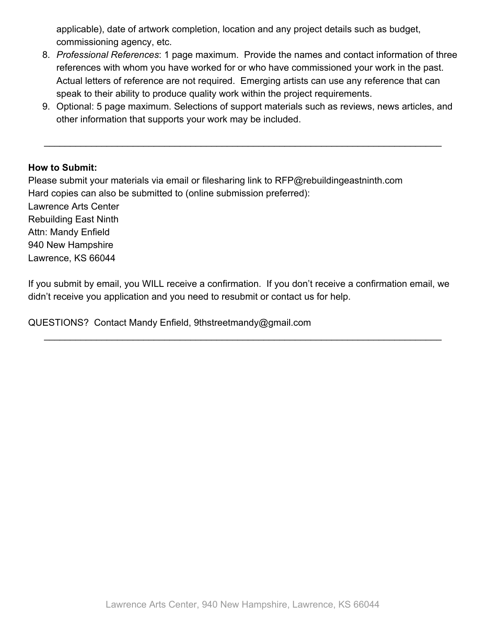applicable), date of artwork completion, location and any project details such as budget, commissioning agency, etc.

- 8. *Professional References*: 1 page maximum. Provide the names and contact information of three references with whom you have worked for or who have commissioned your work in the past. Actual letters of reference are not required. Emerging artists can use any reference that can speak to their ability to produce quality work within the project requirements.
- 9. Optional: 5 page maximum. Selections of support materials such as reviews, news articles, and other information that supports your work may be included.

\_\_\_\_\_\_\_\_\_\_\_\_\_\_\_\_\_\_\_\_\_\_\_\_\_\_\_\_\_\_\_\_\_\_\_\_\_\_\_\_\_\_\_\_\_\_\_\_\_\_\_\_\_\_\_\_\_\_\_\_\_\_\_\_\_\_\_\_\_\_\_\_\_\_\_\_

#### **How to Submit:**

Please submit your materials via email or filesharing link to RFP@rebuildingeastninth.com Hard copies can also be submitted to (online submission preferred): Lawrence Arts Center Rebuilding East Ninth Attn: Mandy Enfield 940 New Hampshire Lawrence, KS 66044

If you submit by email, you WILL receive a confirmation. If you don't receive a confirmation email, we didn't receive you application and you need to resubmit or contact us for help.

\_\_\_\_\_\_\_\_\_\_\_\_\_\_\_\_\_\_\_\_\_\_\_\_\_\_\_\_\_\_\_\_\_\_\_\_\_\_\_\_\_\_\_\_\_\_\_\_\_\_\_\_\_\_\_\_\_\_\_\_\_\_\_\_\_\_\_\_\_\_\_\_\_\_\_\_

QUESTIONS? Contact Mandy Enfield, 9thstreetmandy@gmail.com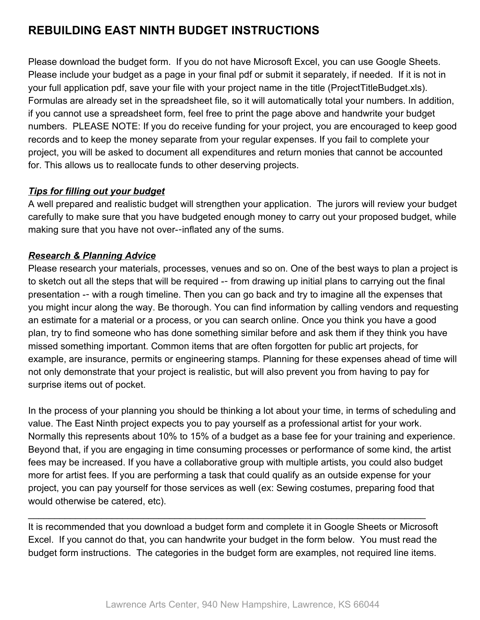# **REBUILDING EAST NINTH BUDGET INSTRUCTIONS**

Please download the budget form. If you do not have Microsoft Excel, you can use Google Sheets. Please include your budget as a page in your final pdf or submit it separately, if needed. If it is not in your full application pdf, save your file with your project name in the title (ProjectTitleBudget.xls). Formulas are already set in the spreadsheet file, so it will automatically total your numbers. In addition, if you cannot use a spreadsheet form, feel free to print the page above and handwrite your budget numbers. PLEASE NOTE: If you do receive funding for your project, you are encouraged to keep good records and to keep the money separate from your regular expenses. If you fail to complete your project, you will be asked to document all expenditures and return monies that cannot be accounted for. This allows us to reallocate funds to other deserving projects.

### *Tips for filling out your budget*

A well prepared and realistic budget will strengthen your application. The jurors will review your budget carefully to make sure that you have budgeted enough money to carry out your proposed budget, while making sure that you have not over--inflated any of the sums.

## *Research & Planning Advice*

Please research your materials, processes, venues and so on. One of the best ways to plan a project is to sketch out all the steps that will be required -- from drawing up initial plans to carrying out the final presentation -- with a rough timeline. Then you can go back and try to imagine all the expenses that you might incur along the way. Be thorough. You can find information by calling vendors and requesting an estimate for a material or a process, or you can search online. Once you think you have a good plan, try to find someone who has done something similar before and ask them if they think you have missed something important. Common items that are often forgotten for public art projects, for example, are insurance, permits or engineering stamps. Planning for these expenses ahead of time will not only demonstrate that your project is realistic, but will also prevent you from having to pay for surprise items out of pocket.

In the process of your planning you should be thinking a lot about your time, in terms of scheduling and value. The East Ninth project expects you to pay yourself as a professional artist for your work. Normally this represents about 10% to 15% of a budget as a base fee for your training and experience. Beyond that, if you are engaging in time consuming processes or performance of some kind, the artist fees may be increased. If you have a collaborative group with multiple artists, you could also budget more for artist fees. If you are performing a task that could qualify as an outside expense for your project, you can pay yourself for those services as well (ex: Sewing costumes, preparing food that would otherwise be catered, etc).

It is recommended that you download a budget form and complete it in Google Sheets or Microsoft Excel. If you cannot do that, you can handwrite your budget in the form below. You must read the budget form instructions. The categories in the budget form are examples, not required line items.

\_\_\_\_\_\_\_\_\_\_\_\_\_\_\_\_\_\_\_\_\_\_\_\_\_\_\_\_\_\_\_\_\_\_\_\_\_\_\_\_\_\_\_\_\_\_\_\_\_\_\_\_\_\_\_\_\_\_\_\_\_\_\_\_\_\_\_\_\_\_\_\_\_\_\_\_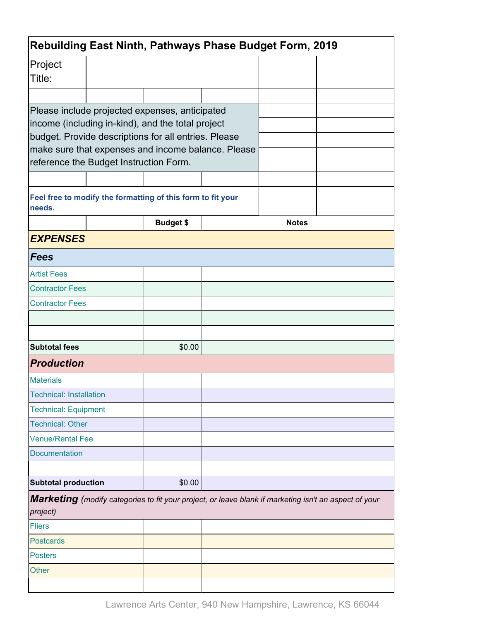| Project<br>Title:<br>Please include projected expenses, anticipated<br>income (including in-kind), and the total project<br>budget. Provide descriptions for all entries. Please<br>make sure that expenses and income balance. Please<br>reference the Budget Instruction Form.<br>Feel free to modify the formatting of this form to fit your<br>needs. |              |
|-----------------------------------------------------------------------------------------------------------------------------------------------------------------------------------------------------------------------------------------------------------------------------------------------------------------------------------------------------------|--------------|
|                                                                                                                                                                                                                                                                                                                                                           |              |
|                                                                                                                                                                                                                                                                                                                                                           |              |
|                                                                                                                                                                                                                                                                                                                                                           |              |
|                                                                                                                                                                                                                                                                                                                                                           |              |
|                                                                                                                                                                                                                                                                                                                                                           |              |
| <b>Budget \$</b>                                                                                                                                                                                                                                                                                                                                          | <b>Notes</b> |
| <b>EXPENSES</b>                                                                                                                                                                                                                                                                                                                                           |              |
| Fees                                                                                                                                                                                                                                                                                                                                                      |              |
| <b>Artist Fees</b>                                                                                                                                                                                                                                                                                                                                        |              |
| <b>Contractor Fees</b>                                                                                                                                                                                                                                                                                                                                    |              |
| <b>Contractor Fees</b>                                                                                                                                                                                                                                                                                                                                    |              |
|                                                                                                                                                                                                                                                                                                                                                           |              |
|                                                                                                                                                                                                                                                                                                                                                           |              |
| <b>Subtotal fees</b><br>\$0.00                                                                                                                                                                                                                                                                                                                            |              |
| <b>Production</b>                                                                                                                                                                                                                                                                                                                                         |              |
| <b>Materials</b>                                                                                                                                                                                                                                                                                                                                          |              |
| <b>Technical: Installation</b>                                                                                                                                                                                                                                                                                                                            |              |
| <b>Technical: Equipment</b>                                                                                                                                                                                                                                                                                                                               |              |
| <b>Technical: Other</b>                                                                                                                                                                                                                                                                                                                                   |              |
| <b>Venue/Rental Fee</b>                                                                                                                                                                                                                                                                                                                                   |              |
| Documentation                                                                                                                                                                                                                                                                                                                                             |              |
|                                                                                                                                                                                                                                                                                                                                                           |              |
| <b>Subtotal production</b><br>\$0.00                                                                                                                                                                                                                                                                                                                      |              |
| Marketing (modify categories to fit your project, or leave blank if marketing isn't an aspect of your<br>project)                                                                                                                                                                                                                                         |              |
| <b>Fliers</b>                                                                                                                                                                                                                                                                                                                                             |              |
| <b>Postcards</b>                                                                                                                                                                                                                                                                                                                                          |              |
| <b>Posters</b>                                                                                                                                                                                                                                                                                                                                            |              |
| <b>Other</b>                                                                                                                                                                                                                                                                                                                                              |              |
|                                                                                                                                                                                                                                                                                                                                                           |              |